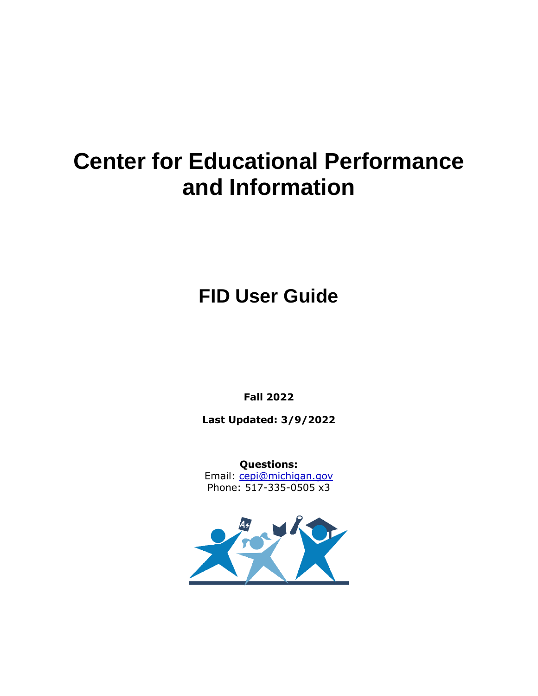# **Center for Educational Performance and Information**

**FID User Guide**

**Fall 2022**

**Last Updated: 3/9/2022**

**Questions:** Email: [cepi@michigan.gov](mailto:cepi@michigan.gov) Phone: 517-335-0505 x3

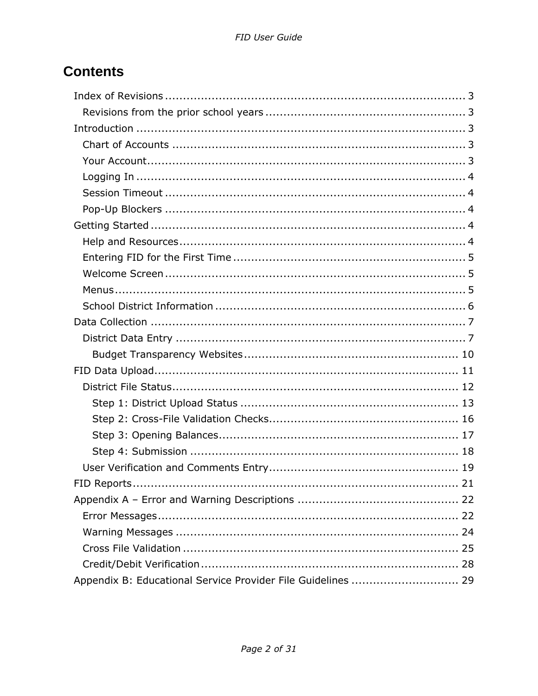# **Contents**

| Appendix B: Educational Service Provider File Guidelines  29 |
|--------------------------------------------------------------|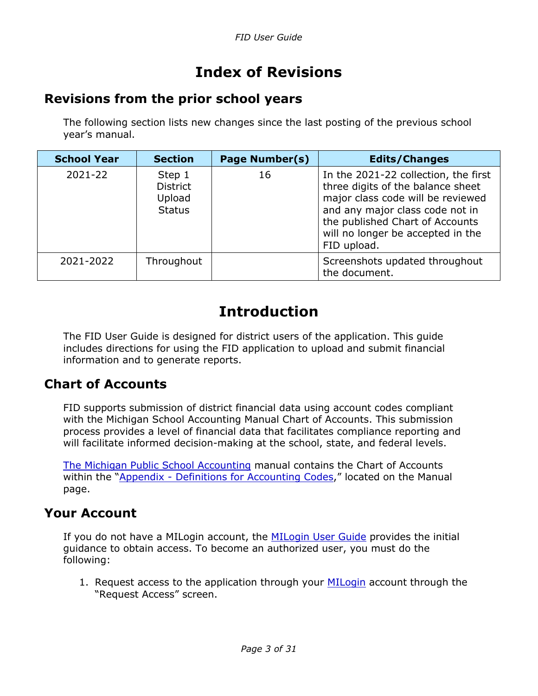# **Index of Revisions**

### <span id="page-2-1"></span><span id="page-2-0"></span>**Revisions from the prior school years**

The following section lists new changes since the last posting of the previous school year's manual.

| <b>School Year</b> | <b>Section</b>                                       | <b>Page Number(s)</b> | <b>Edits/Changes</b>                                                                                                                                                                                                                     |
|--------------------|------------------------------------------------------|-----------------------|------------------------------------------------------------------------------------------------------------------------------------------------------------------------------------------------------------------------------------------|
| 2021-22            | Step 1<br><b>District</b><br>Upload<br><b>Status</b> | 16                    | In the 2021-22 collection, the first<br>three digits of the balance sheet<br>major class code will be reviewed<br>and any major class code not in<br>the published Chart of Accounts<br>will no longer be accepted in the<br>FID upload. |
| 2021-2022          | Throughout                                           |                       | Screenshots updated throughout<br>the document.                                                                                                                                                                                          |

# **Introduction**

<span id="page-2-2"></span>The FID User Guide is designed for district users of the application. This guide includes directions for using the FID application to upload and submit financial information and to generate reports.

#### <span id="page-2-3"></span>**Chart of Accounts**

FID supports submission of district financial data using account codes compliant with the Michigan School Accounting Manual Chart of Accounts. This submission process provides a level of financial data that facilitates compliance reporting and will facilitate informed decision-making at the school, state, and federal levels.

[The Michigan Public School Accounting](https://www.michigan.gov/mde/0,4615,7-140-6605_6539-21321--,00.html) manual contains the Chart of Accounts within the "Appendix - [Definitions for Accounting Codes](https://www.michigan.gov/documents/appendix_33974_7.pdf)," located on the Manual page.

#### <span id="page-2-4"></span>**Your Account**

If you do not have a MILogin account, the [MILogin User Guide](https://www.michigan.gov/-/media/Project/Websites/cepi/Security/milogin_user_guide.pdf) provides the initial guidance to obtain access. To become an authorized user, you must do the following:

1. Request access to the application through your [MILogin](https://milogintp.michigan.gov/eai/tplogin/authenticate?URL=/cepifid/FID) account through the "Request Access" screen.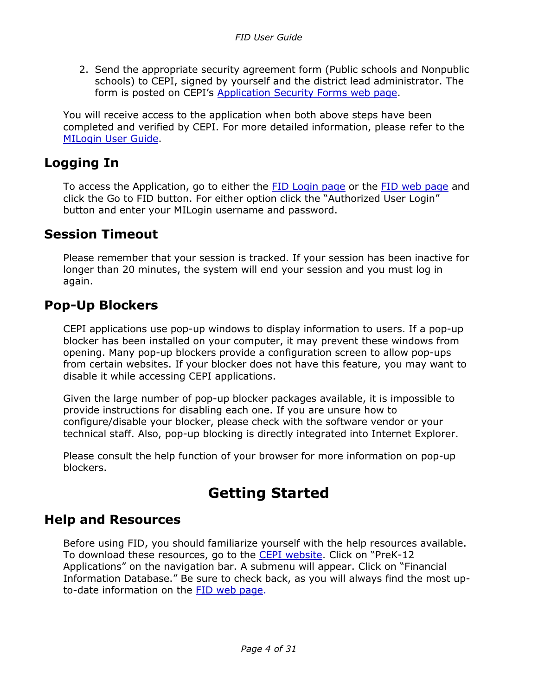2. Send the appropriate security agreement form (Public schools and Nonpublic schools) to CEPI, signed by yourself and the district lead administrator. The form is posted on CEPI's [Application Security Forms web page.](https://www.michigan.gov/cepi/applications/security)

You will receive access to the application when both above steps have been completed and verified by CEPI. For more detailed information, please refer to the [MILogin User Guide.](https://www.michigan.gov/documents/cepi/MILogin_Users_Guide_531016_7.pdf)

### <span id="page-3-0"></span>**Logging In**

To access the Application, go to either the [FID Login page](https://cepi.state.mi.us/FID) or the [FID web page](https://www.michigan.gov/cepi/pk-12/fid) and click the Go to FID button. For either option click the "Authorized User Login" button and enter your MILogin username and password.

### <span id="page-3-1"></span>**Session Timeout**

Please remember that your session is tracked. If your session has been inactive for longer than 20 minutes, the system will end your session and you must log in again.

### <span id="page-3-2"></span>**Pop-Up Blockers**

CEPI applications use pop-up windows to display information to users. If a pop-up blocker has been installed on your computer, it may prevent these windows from opening. Many pop-up blockers provide a configuration screen to allow pop-ups from certain websites. If your blocker does not have this feature, you may want to disable it while accessing CEPI applications.

Given the large number of pop-up blocker packages available, it is impossible to provide instructions for disabling each one. If you are unsure how to configure/disable your blocker, please check with the software vendor or your technical staff. Also, pop-up blocking is directly integrated into Internet Explorer.

Please consult the help function of your browser for more information on pop-up blockers.

# **Getting Started**

### <span id="page-3-4"></span><span id="page-3-3"></span>**Help and Resources**

Before using FID, you should familiarize yourself with the help resources available. To download these resources, go to the [CEPI website.](https://www.michigan.gov/cepi) Click on "PreK-12 Applications" on the navigation bar. A submenu will appear. Click on "Financial Information Database." Be sure to check back, as you will always find the most upto-date information on the [FID web](https://www.michigan.gov/cepi/pk-12/fid) page.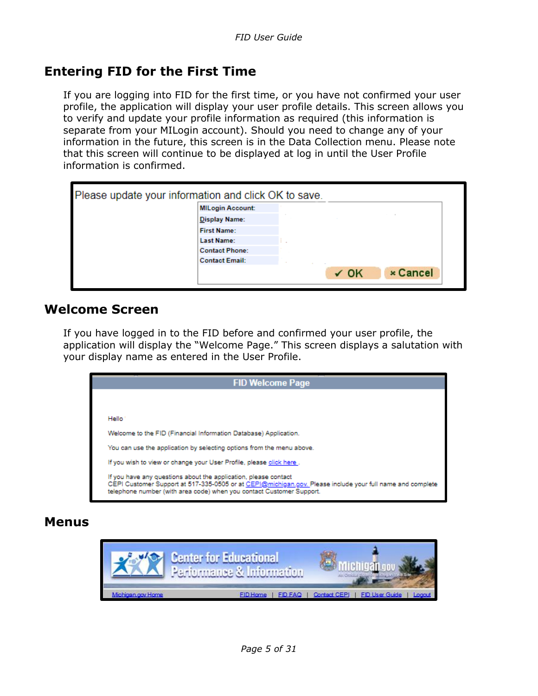### <span id="page-4-0"></span>**Entering FID for the First Time**

If you are logging into FID for the first time, or you have not confirmed your user profile, the application will display your user profile details. This screen allows you to verify and update your profile information as required (this information is separate from your MILogin account). Should you need to change any of your information in the future, this screen is in the Data Collection menu. Please note that this screen will continue to be displayed at log in until the User Profile information is confirmed.

| Please update your information and click OK to save. |                         |  |           |                 |  |
|------------------------------------------------------|-------------------------|--|-----------|-----------------|--|
|                                                      | <b>MILogin Account:</b> |  |           |                 |  |
|                                                      | <b>Display Name:</b>    |  |           |                 |  |
|                                                      | <b>First Name:</b>      |  |           |                 |  |
|                                                      | <b>Last Name:</b>       |  |           |                 |  |
|                                                      | <b>Contact Phone:</b>   |  |           |                 |  |
|                                                      | <b>Contact Email:</b>   |  |           |                 |  |
|                                                      |                         |  | $\sim$ OK | <b>× Cancel</b> |  |

#### <span id="page-4-1"></span>**Welcome Screen**

If you have logged in to the FID before and confirmed your user profile, the application will display the "Welcome Page." This screen displays a salutation with your display name as entered in the User Profile.



#### <span id="page-4-2"></span>**Menus**

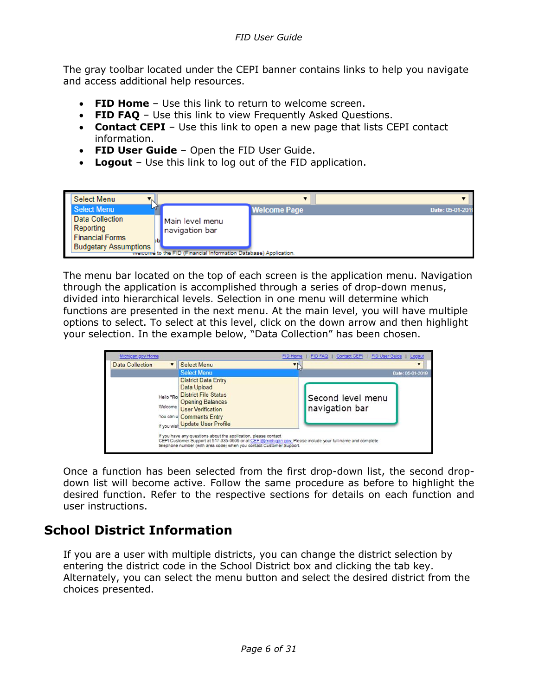The gray toolbar located under the CEPI banner contains links to help you navigate and access additional help resources.

- **FID Home** Use this link to return to welcome screen.
- **FID FAQ** Use this link to view Frequently Asked Questions.
- **Contact CEPI** Use this link to open a new page that lists CEPI contact information.
- **FID User Guide** Open the FID User Guide.
- **Logout** Use this link to log out of the FID application.



The menu bar located on the top of each screen is the application menu. Navigation through the application is accomplished through a series of drop-down menus, divided into hierarchical levels. Selection in one menu will determine which functions are presented in the next menu. At the main level, you will have multiple options to select. To select at this level, click on the down arrow and then highlight your selection. In the example below, "Data Collection" has been chosen.

| Michigan.gov Home      |                                                                                                                                                                                                                                                                                                                                                                                                                                                         | FID Home<br><b>FID FAQ</b>          | FID User Guide   Logout<br>Contact CEPI |
|------------------------|---------------------------------------------------------------------------------------------------------------------------------------------------------------------------------------------------------------------------------------------------------------------------------------------------------------------------------------------------------------------------------------------------------------------------------------------------------|-------------------------------------|-----------------------------------------|
| <b>Data Collection</b> | <b>Select Menu</b>                                                                                                                                                                                                                                                                                                                                                                                                                                      |                                     |                                         |
|                        | <b>Select Menu</b>                                                                                                                                                                                                                                                                                                                                                                                                                                      |                                     | Date: 05-01-2019                        |
| Helio "Ro              | <b>District Data Entry</b><br>Data Upload<br><b>District File Status</b><br><b>Opening Balances</b><br>Welcome User Verification<br>You can u Comments Entry<br>If you wisk Update User Profile<br>If you have any questions about the application, please contact<br>CEPI Customer Support at 517-335-0505 or at CEPI@michigan.gov. Please include your full name and complete<br>telephone number (with area code) when you contact Customer Support. | Second level menu<br>navigation bar |                                         |

Once a function has been selected from the first drop-down list, the second dropdown list will become active. Follow the same procedure as before to highlight the desired function. Refer to the respective sections for details on each function and user instructions.

### <span id="page-5-0"></span>**School District Information**

If you are a user with multiple districts, you can change the district selection by entering the district code in the School District box and clicking the tab key. Alternately, you can select the menu button and select the desired district from the choices presented.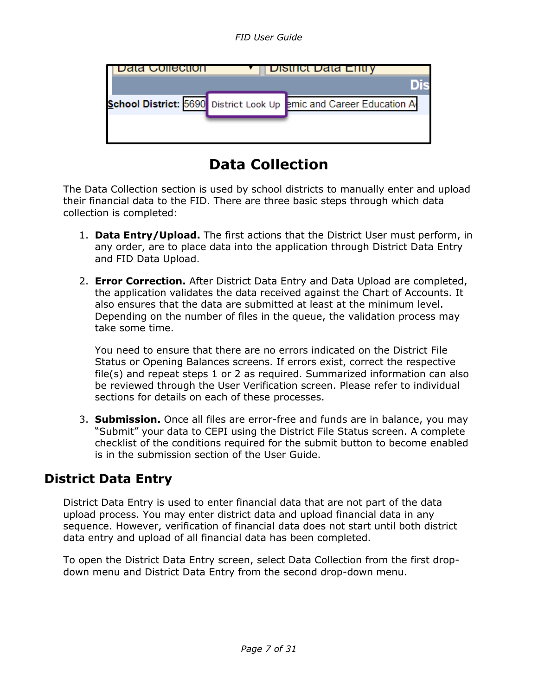| Jala Collection | District Data Entry                                                |
|-----------------|--------------------------------------------------------------------|
|                 |                                                                    |
|                 | School District: 5690 District Look Up emic and Career Education A |
|                 |                                                                    |
|                 |                                                                    |

# **Data Collection**

<span id="page-6-0"></span>The Data Collection section is used by school districts to manually enter and upload their financial data to the FID. There are three basic steps through which data collection is completed:

- 1. **Data Entry/Upload.** The first actions that the District User must perform, in any order, are to place data into the application through District Data Entry and FID Data Upload.
- 2. **Error Correction.** After District Data Entry and Data Upload are completed, the application validates the data received against the Chart of Accounts. It also ensures that the data are submitted at least at the minimum level. Depending on the number of files in the queue, the validation process may take some time.

You need to ensure that there are no errors indicated on the District File Status or Opening Balances screens. If errors exist, correct the respective file(s) and repeat steps 1 or 2 as required. Summarized information can also be reviewed through the User Verification screen. Please refer to individual sections for details on each of these processes.

3. **Submission.** Once all files are error-free and funds are in balance, you may "Submit" your data to CEPI using the District File Status screen. A complete checklist of the conditions required for the submit button to become enabled is in the submission section of the User Guide.

## <span id="page-6-1"></span>**District Data Entry**

District Data Entry is used to enter financial data that are not part of the data upload process. You may enter district data and upload financial data in any sequence. However, verification of financial data does not start until both district data entry and upload of all financial data has been completed.

To open the District Data Entry screen, select Data Collection from the first dropdown menu and District Data Entry from the second drop-down menu.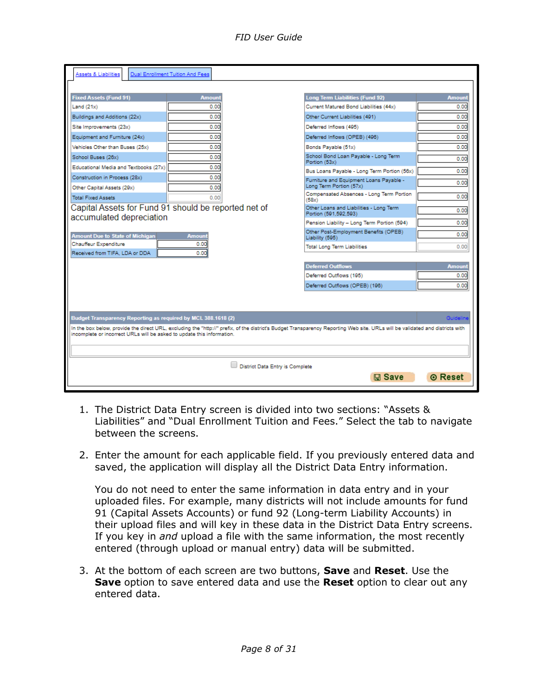| Assets & Liabilities                                                             | Dual Enrollment Tuition And Fees |                                 |                                                                                                                                                                               |                 |
|----------------------------------------------------------------------------------|----------------------------------|---------------------------------|-------------------------------------------------------------------------------------------------------------------------------------------------------------------------------|-----------------|
|                                                                                  |                                  |                                 |                                                                                                                                                                               |                 |
| <b>Fixed Assets (Fund 91)</b>                                                    | <b>Amount</b>                    |                                 | <b>Long Term Liabilities (Fund 92)</b>                                                                                                                                        | <b>Amount</b>   |
| Land $(21x)$                                                                     | 0.00                             |                                 | Current Matured Bond Liabilities (44x)                                                                                                                                        | 0.00            |
| Buildings and Additions (22x)                                                    | 0.00                             |                                 | Other Current Liabilities (491)                                                                                                                                               | 0.00            |
| Site Improvements (23x)                                                          | 0.00                             |                                 | Deferred Inflows (495)                                                                                                                                                        | 0.00            |
| Equipment and Furniture (24x)                                                    | 0.00                             |                                 | Deferred Inflows (OPEB) (496)                                                                                                                                                 | 0.00            |
| Vehicles Other than Buses (25x)                                                  | 0.00                             |                                 | Bonds Payable (51x)                                                                                                                                                           | 0.00            |
| School Buses (26x)                                                               | 0.00                             |                                 | School Bond Loan Payable - Long Term<br>Portion (53x)                                                                                                                         | 0.00            |
| Educational Media and Textbooks (27x)                                            | 0.00                             |                                 | Bus Loans Payable - Long Term Portion (56x)                                                                                                                                   | 0.00            |
| Construction in Process (28x)<br>Other Capital Assets (29x)                      | 0.00<br>0.00                     |                                 | Furniture and Equipment Loans Payable -<br>Long Term Portion (57x)                                                                                                            | 0.00            |
| <b>Total Fixed Assets</b>                                                        | 0.00                             |                                 | Compensated Absences - Long Term Portion<br>(58x)                                                                                                                             | 0.00            |
| Capital Assets for Fund 91 should be reported net of<br>accumulated depreciation |                                  |                                 | Other Loans and Liabilities - Long Term<br>Portion (591,592,593)                                                                                                              | 0.00            |
|                                                                                  |                                  |                                 | Pension Liability - Long Term Portion (594)                                                                                                                                   | 0.00            |
| <b>Amount Due to State of Michigan</b>                                           | <b>Amount</b>                    |                                 | Other Post-Employment Benefits (OPEB)<br>Liability (595)                                                                                                                      | 0.00            |
| Chauffeur Expenditure<br>Received from TIFA, LDA or DDA                          | 0.00<br>0.00                     |                                 | <b>Total Long Term Liabilities</b>                                                                                                                                            | 0.00            |
|                                                                                  |                                  |                                 | <b>Deferred Outflows</b>                                                                                                                                                      | <b>Amount</b>   |
|                                                                                  |                                  |                                 | Deferred Outflows (195)                                                                                                                                                       | 0.00            |
|                                                                                  |                                  |                                 | Deferred Outflows (OPEB) (196)                                                                                                                                                | 0.00            |
|                                                                                  |                                  |                                 |                                                                                                                                                                               |                 |
|                                                                                  |                                  |                                 |                                                                                                                                                                               |                 |
| Budget Transparency Reporting as required by MCL 388.1618 (2)                    |                                  |                                 |                                                                                                                                                                               | <b>Guidelin</b> |
|                                                                                  |                                  |                                 | In the box below, provide the direct URL, excluding the "http://" prefix, of the district's Budget Transparency Reporting Web site. URLs will be validated and districts with |                 |
| incomplete or incorrect URLs will be asked to update this information.           |                                  |                                 |                                                                                                                                                                               |                 |
|                                                                                  |                                  |                                 |                                                                                                                                                                               |                 |
|                                                                                  |                                  | District Data Entry is Complete |                                                                                                                                                                               |                 |
|                                                                                  |                                  |                                 | $\Box$ Save                                                                                                                                                                   | <b>◎ Reset</b>  |
|                                                                                  |                                  |                                 |                                                                                                                                                                               |                 |

- 1. The District Data Entry screen is divided into two sections: "Assets & Liabilities" and "Dual Enrollment Tuition and Fees." Select the tab to navigate between the screens.
- 2. Enter the amount for each applicable field. If you previously entered data and saved, the application will display all the District Data Entry information.

You do not need to enter the same information in data entry and in your uploaded files. For example, many districts will not include amounts for fund 91 (Capital Assets Accounts) or fund 92 (Long-term Liability Accounts) in their upload files and will key in these data in the District Data Entry screens. If you key in *and* upload a file with the same information, the most recently entered (through upload or manual entry) data will be submitted.

3. At the bottom of each screen are two buttons, **Save** and **Reset**. Use the **Save** option to save entered data and use the **Reset** option to clear out any entered data.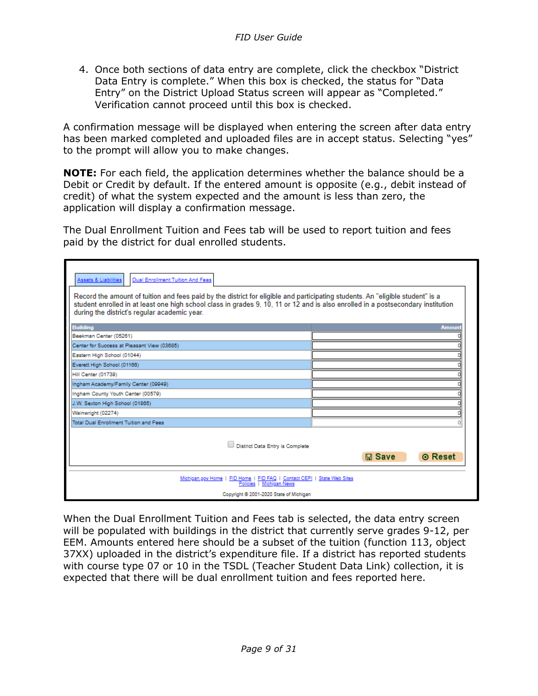4. Once both sections of data entry are complete, click the checkbox "District Data Entry is complete." When this box is checked, the status for "Data Entry" on the District Upload Status screen will appear as "Completed." Verification cannot proceed until this box is checked.

A confirmation message will be displayed when entering the screen after data entry has been marked completed and uploaded files are in accept status. Selecting "yes" to the prompt will allow you to make changes.

**NOTE:** For each field, the application determines whether the balance should be a Debit or Credit by default. If the entered amount is opposite (e.g., debit instead of credit) of what the system expected and the amount is less than zero, the application will display a confirmation message.

The Dual Enrollment Tuition and Fees tab will be used to report tuition and fees paid by the district for dual enrolled students.

| Dual Enrollment Tuition And Fees<br>Assets & Liabilities<br>Record the amount of tuition and fees paid by the district for eligible and participating students. An "eligible student" is a<br>student enrolled in at least one high school class in grades 9, 10, 11 or 12 and is also enrolled in a postsecondary institution<br>during the district's regular academic year. |                            |
|--------------------------------------------------------------------------------------------------------------------------------------------------------------------------------------------------------------------------------------------------------------------------------------------------------------------------------------------------------------------------------|----------------------------|
| <b>Building</b>                                                                                                                                                                                                                                                                                                                                                                | <b>Amoun</b>               |
| Beekman Center (05261)                                                                                                                                                                                                                                                                                                                                                         |                            |
| Center for Success at Pleasant View (03685)                                                                                                                                                                                                                                                                                                                                    |                            |
| Eastern High School (01044)                                                                                                                                                                                                                                                                                                                                                    |                            |
| Everett High School (01166)                                                                                                                                                                                                                                                                                                                                                    |                            |
| Hill Center (01739)                                                                                                                                                                                                                                                                                                                                                            |                            |
| Ingham Academy/Family Center (09949)                                                                                                                                                                                                                                                                                                                                           |                            |
| Ingham County Youth Center (00579)                                                                                                                                                                                                                                                                                                                                             |                            |
| J.W. Sexton High School (01865)                                                                                                                                                                                                                                                                                                                                                |                            |
| Wainwright (02274)                                                                                                                                                                                                                                                                                                                                                             |                            |
| Total Dual Enrollment Tuition and Fees                                                                                                                                                                                                                                                                                                                                         |                            |
| District Data Entry is Complete                                                                                                                                                                                                                                                                                                                                                | <b>◎ Reset</b><br>$m$ Save |
| Michigan.gov Home   FID Home   FID FAQ   Contact CEPI   State Web Sites<br>Policies   Michigan News                                                                                                                                                                                                                                                                            |                            |
| Copyright @ 2001-2020 State of Michigan                                                                                                                                                                                                                                                                                                                                        |                            |

When the Dual Enrollment Tuition and Fees tab is selected, the data entry screen will be populated with buildings in the district that currently serve grades 9-12, per EEM. Amounts entered here should be a subset of the tuition (function 113, object 37XX) uploaded in the district's expenditure file. If a district has reported students with course type 07 or 10 in the TSDL (Teacher Student Data Link) collection, it is expected that there will be dual enrollment tuition and fees reported here.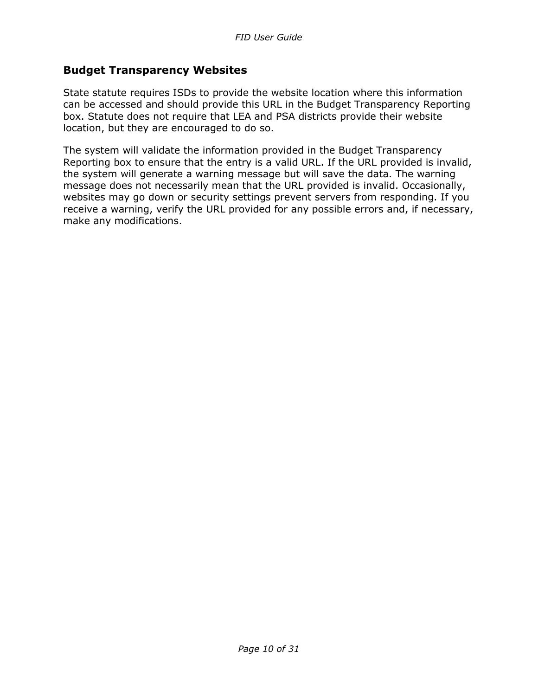#### <span id="page-9-0"></span>**Budget Transparency Websites**

State statute requires ISDs to provide the website location where this information can be accessed and should provide this URL in the Budget Transparency Reporting box. Statute does not require that LEA and PSA districts provide their website location, but they are encouraged to do so.

The system will validate the information provided in the Budget Transparency Reporting box to ensure that the entry is a valid URL. If the URL provided is invalid, the system will generate a warning message but will save the data. The warning message does not necessarily mean that the URL provided is invalid. Occasionally, websites may go down or security settings prevent servers from responding. If you receive a warning, verify the URL provided for any possible errors and, if necessary, make any modifications.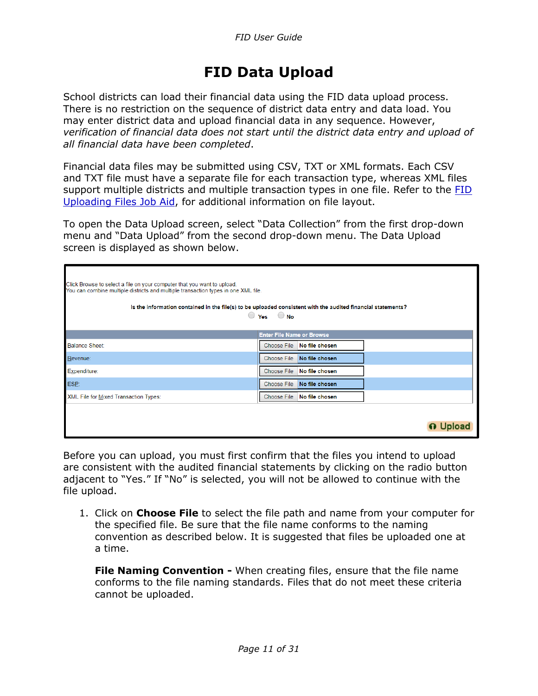# **FID Data Upload**

<span id="page-10-0"></span>School districts can load their financial data using the FID data upload process. There is no restriction on the sequence of district data entry and data load. You may enter district data and upload financial data in any sequence. However, *verification of financial data does not start until the district data entry and upload of all financial data have been completed*.

Financial data files may be submitted using CSV, TXT or XML formats. Each CSV and TXT file must have a separate file for each transaction type, whereas XML files support multiple districts and multiple transaction types in one file. Refer to the [FID](https://www.michigan.gov/-/media/Project/Websites/cepi/FID/FID_Layout.pdf)  [Uploading Files Job Aid,](https://www.michigan.gov/-/media/Project/Websites/cepi/FID/FID_Layout.pdf) for additional information on file layout.

To open the Data Upload screen, select "Data Collection" from the first drop-down menu and "Data Upload" from the second drop-down menu. The Data Upload screen is displayed as shown below.

| Click Browse to select a file on your computer that you want to upload.<br>You can combine multiple districts and multiple transaction types in one XML file.<br>Is the information contained in the file(s) to be uploaded consistent with the audited financial statements? | $\bigcirc$ Yes $\bigcirc$ No         |  |
|-------------------------------------------------------------------------------------------------------------------------------------------------------------------------------------------------------------------------------------------------------------------------------|--------------------------------------|--|
|                                                                                                                                                                                                                                                                               | <b>Enter File Name or Browse</b>     |  |
| <b>Balance Sheet:</b>                                                                                                                                                                                                                                                         | Choose File<br>No file chosen        |  |
| Revenue:                                                                                                                                                                                                                                                                      | <b>Choose File</b><br>No file chosen |  |
| Expenditure:                                                                                                                                                                                                                                                                  | Choose File<br>No file chosen        |  |
| ESP:                                                                                                                                                                                                                                                                          | <b>Choose File</b><br>No file chosen |  |
| XML File for Mixed Transaction Types:                                                                                                                                                                                                                                         | <b>Choose File</b><br>No file chosen |  |
|                                                                                                                                                                                                                                                                               |                                      |  |

Before you can upload, you must first confirm that the files you intend to upload are consistent with the audited financial statements by clicking on the radio button adjacent to "Yes." If "No" is selected, you will not be allowed to continue with the file upload.

1. Click on **Choose File** to select the file path and name from your computer for the specified file. Be sure that the file name conforms to the naming convention as described below. It is suggested that files be uploaded one at a time.

**File Naming Convention -** When creating files, ensure that the file name conforms to the file naming standards. Files that do not meet these criteria cannot be uploaded.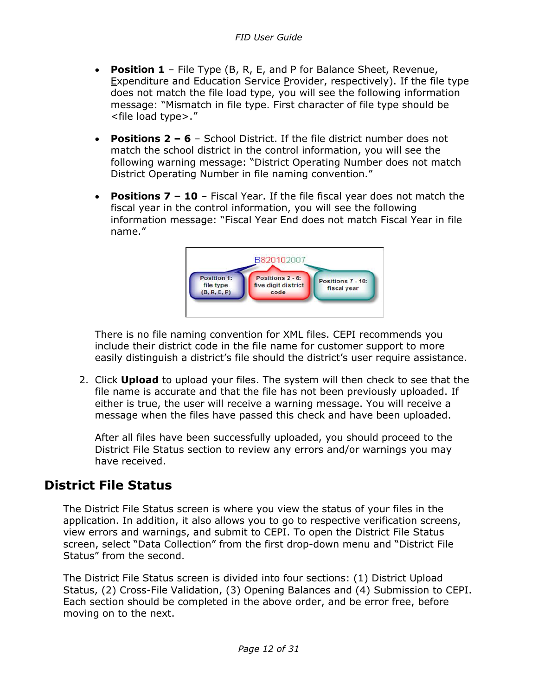- **Position 1** File Type (B, R, E, and P for Balance Sheet, Revenue, Expenditure and Education Service Provider, respectively). If the file type does not match the file load type, you will see the following information message: "Mismatch in file type. First character of file type should be <file load type>."
- **Positions 2 – 6** School District. If the file district number does not match the school district in the control information, you will see the following warning message: "District Operating Number does not match District Operating Number in file naming convention."
- **Positions 7 – 10** Fiscal Year. If the file fiscal year does not match the fiscal year in the control information, you will see the following information message: "Fiscal Year End does not match Fiscal Year in file name."



There is no file naming convention for XML files. CEPI recommends you include their district code in the file name for customer support to more easily distinguish a district's file should the district's user require assistance.

2. Click **Upload** to upload your files. The system will then check to see that the file name is accurate and that the file has not been previously uploaded. If either is true, the user will receive a warning message. You will receive a message when the files have passed this check and have been uploaded.

After all files have been successfully uploaded, you should proceed to the District File Status section to review any errors and/or warnings you may have received.

## <span id="page-11-0"></span>**District File Status**

The District File Status screen is where you view the status of your files in the application. In addition, it also allows you to go to respective verification screens, view errors and warnings, and submit to CEPI. To open the District File Status screen, select "Data Collection" from the first drop-down menu and "District File Status" from the second.

The District File Status screen is divided into four sections: (1) District Upload Status, (2) Cross-File Validation, (3) Opening Balances and (4) Submission to CEPI. Each section should be completed in the above order, and be error free, before moving on to the next.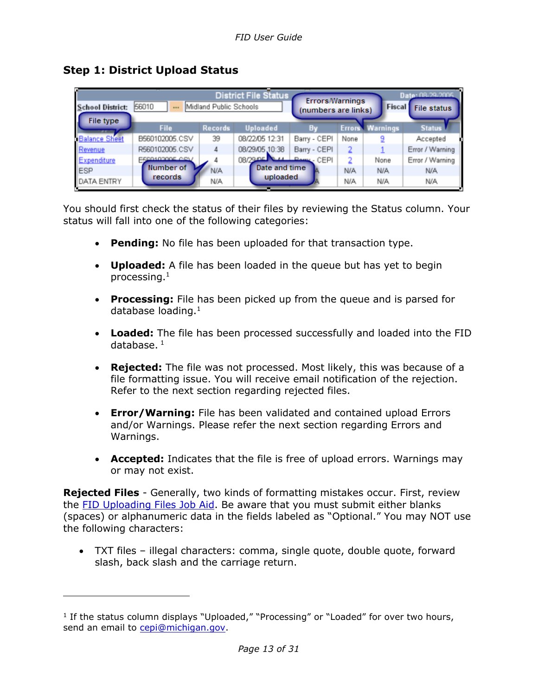<span id="page-12-0"></span>**Step 1: District Upload Status**

| <b>District File Status</b><br>Date: 08-29-2005<br><b>Errors/Warnings</b><br>56010<br>Midland Public Schools<br>Fiscal File status<br><b>School District:</b><br>(numbers are links)<br>File type |                |                |                        |              |      |                        |                 |
|---------------------------------------------------------------------------------------------------------------------------------------------------------------------------------------------------|----------------|----------------|------------------------|--------------|------|------------------------|-----------------|
|                                                                                                                                                                                                   | <b>File</b>    | <b>Records</b> | <b>Uploaded</b>        | Bv           |      | <b>Errors Warnings</b> | <b>Status</b>   |
| <b>Balance Sheet</b>                                                                                                                                                                              | B560102005.CSV | 39             | 08/22/05 12:31         | Barry - CEPI | None |                        | Accepted        |
| Revenue                                                                                                                                                                                           | R560102005.CSV | Δ              | 08/29/05.10:38         | Barry - CEPI |      |                        | Error / Warning |
| Expenditure                                                                                                                                                                                       | E580103005 CSV |                | 08/29 OF ALL BANK CEPI |              |      | None                   | Error / Warning |
| ESP                                                                                                                                                                                               | Number of      | N/A            | Date and time          |              | N/A  | N/A                    | <b>N/A</b>      |
| <b>DATA ENTRY</b>                                                                                                                                                                                 | <b>records</b> | N/A            | uploaded               |              | N/A  | N/A                    | <b>N/A</b>      |

You should first check the status of their files by reviewing the Status column. Your status will fall into one of the following categories:

- **Pending:** No file has been uploaded for that transaction type.
- **Uploaded:** A file has been loaded in the queue but has yet to begin processing.<sup>1</sup>
- **Processing:** File has been picked up from the queue and is parsed for database loading.<sup>1</sup>
- **Loaded:** The file has been processed successfully and loaded into the FID database. $1$
- **Rejected:** The file was not processed. Most likely, this was because of a file formatting issue. You will receive email notification of the rejection. Refer to the next section regarding rejected files.
- **Error/Warning:** File has been validated and contained upload Errors and/or Warnings. Please refer the next section regarding Errors and Warnings.
- **Accepted:** Indicates that the file is free of upload errors. Warnings may or may not exist.

**Rejected Files** - Generally, two kinds of formatting mistakes occur. First, review the [FID Uploading Files Job Aid.](https://www.michigan.gov/-/media/Project/Websites/cepi/FID/FID_Layout.pdf) Be aware that you must submit either blanks (spaces) or alphanumeric data in the fields labeled as "Optional." You may NOT use the following characters:

• TXT files – illegal characters: comma, single quote, double quote, forward slash, back slash and the carriage return.

<sup>&</sup>lt;sup>1</sup> If the status column displays "Uploaded," "Processing" or "Loaded" for over two hours, send an email to [cepi@michigan.gov.](mailto:cepi@michigan.gov)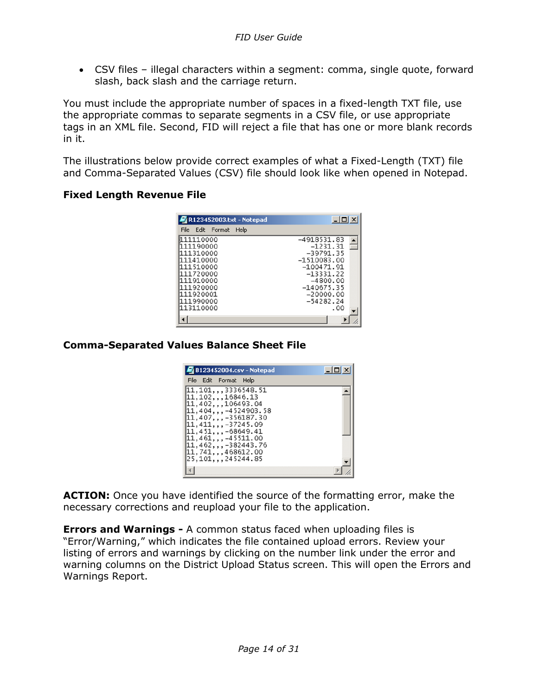• CSV files – illegal characters within a segment: comma, single quote, forward slash, back slash and the carriage return.

You must include the appropriate number of spaces in a fixed-length TXT file, use the appropriate commas to separate segments in a CSV file, or use appropriate tags in an XML file. Second, FID will reject a file that has one or more blank records in it.

The illustrations below provide correct examples of what a Fixed-Length (TXT) file and Comma-Separated Values (CSV) file should look like when opened in Notepad.

#### **Fixed Length Revenue File**

| R123452003.txt - Notepad                                                                                                       | $ \Box$ $\times$                                                                                                                                   |
|--------------------------------------------------------------------------------------------------------------------------------|----------------------------------------------------------------------------------------------------------------------------------------------------|
| File Edit Format Help                                                                                                          |                                                                                                                                                    |
| 111110000<br>111190000<br>111310000<br>111410000<br>111510000<br>111720000<br>111910000<br>111920000<br>111920001<br>111990000 | -4918531.83<br>$-1231.31$<br>$-39791.35$<br>$-1510083.00$<br>$-100471.91$<br>$-13331.22$<br>$-4800.00$<br>-140675.35<br>$-20000.00$<br>$-54282.24$ |
| 113110000                                                                                                                      | . 00                                                                                                                                               |

#### **Comma-Separated Values Balance Sheet File**

| B123452004.csv - Notepad                                                                                                                                                                                                                                                             | $ \Box$ x |
|--------------------------------------------------------------------------------------------------------------------------------------------------------------------------------------------------------------------------------------------------------------------------------------|-----------|
| File Edit Format Help                                                                                                                                                                                                                                                                |           |
| [11, 101, , , 3336548, 51]<br>[11, 102, , , 16846.13]<br>11,402,,,106493.04<br>$[11, 404, , , -4524903.58]$<br>11,407,,,-356187.30<br>11,411,,,-37245.09<br>$[11, 451, , -68649.41]$<br>$[11, 461, , -45511, 00]$<br>11,462,,,-382443.76<br>11,741,,,468612.00<br>25,101,,,245244.85 |           |
|                                                                                                                                                                                                                                                                                      |           |

**ACTION:** Once you have identified the source of the formatting error, make the necessary corrections and reupload your file to the application.

**Errors and Warnings -** A common status faced when uploading files is "Error/Warning," which indicates the file contained upload errors. Review your listing of errors and warnings by clicking on the number link under the error and warning columns on the District Upload Status screen. This will open the Errors and Warnings Report.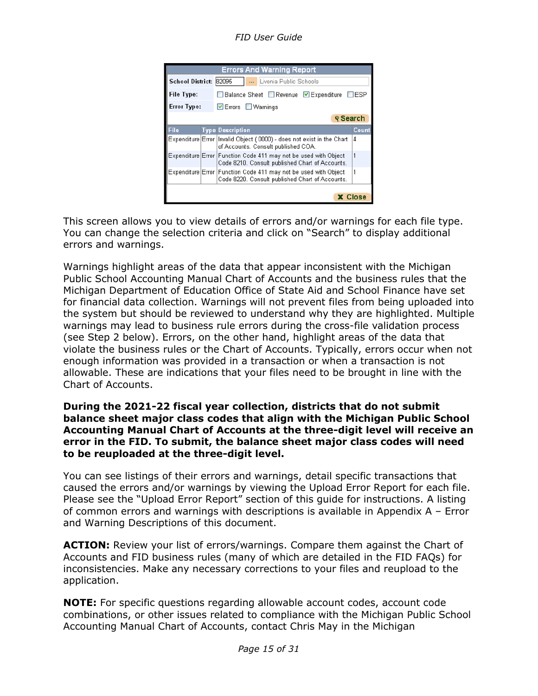*FID User Guide*

|                                                                   |                | <b>Errors And Warning Report</b>                                                                                   |       |  |  |  |
|-------------------------------------------------------------------|----------------|--------------------------------------------------------------------------------------------------------------------|-------|--|--|--|
| School District: 82095                                            |                | Livonia Public Schools                                                                                             |       |  |  |  |
| $\Box$ ESP<br>File Type:<br>■ Balance Sheet Revenue ■ Expenditure |                |                                                                                                                    |       |  |  |  |
| <b>Error Type:</b>                                                |                | ☑ Errors ■ Warnings                                                                                                |       |  |  |  |
|                                                                   |                | <b><i>Q</i></b> Search                                                                                             |       |  |  |  |
| <b>File</b>                                                       |                | <b>Type Description</b>                                                                                            | Count |  |  |  |
|                                                                   |                | Expenditure Error Invalid Object (0000) - does not exist in the Chart<br>of Accounts. Consult published COA.       | 4     |  |  |  |
|                                                                   |                | Expenditure Error Function Code 411 may not be used with Object<br>Code 8210. Consult published Chart of Accounts. | 1     |  |  |  |
| Expenditure Error                                                 |                | Function Code 411 may not be used with Object<br>Code 8220. Consult published Chart of Accounts.                   | 1     |  |  |  |
|                                                                   |                |                                                                                                                    |       |  |  |  |
|                                                                   | <b>X</b> Close |                                                                                                                    |       |  |  |  |

This screen allows you to view details of errors and/or warnings for each file type. You can change the selection criteria and click on "Search" to display additional errors and warnings.

Warnings highlight areas of the data that appear inconsistent with the Michigan Public School Accounting Manual Chart of Accounts and the business rules that the Michigan Department of Education Office of State Aid and School Finance have set for financial data collection. Warnings will not prevent files from being uploaded into the system but should be reviewed to understand why they are highlighted. Multiple warnings may lead to business rule errors during the cross-file validation process (see Step 2 below). Errors, on the other hand, highlight areas of the data that violate the business rules or the Chart of Accounts. Typically, errors occur when not enough information was provided in a transaction or when a transaction is not allowable. These are indications that your files need to be brought in line with the Chart of Accounts.

#### **During the 2021-22 fiscal year collection, districts that do not submit balance sheet major class codes that align with the Michigan Public School Accounting Manual Chart of Accounts at the three-digit level will receive an error in the FID. To submit, the balance sheet major class codes will need to be reuploaded at the three-digit level.**

You can see listings of their errors and warnings, detail specific transactions that caused the errors and/or warnings by viewing the Upload Error Report for each file. Please see the "Upload Error Report" section of this guide for instructions. A listing of common errors and warnings with descriptions is available in Appendix A – Error and Warning Descriptions of this document.

ACTION: Review your list of errors/warnings. Compare them against the Chart of Accounts and FID business rules (many of which are detailed in the FID FAQs) for inconsistencies. Make any necessary corrections to your files and reupload to the application.

**NOTE:** For specific questions regarding allowable account codes, account code combinations, or other issues related to compliance with the Michigan Public School Accounting Manual Chart of Accounts, contact Chris May in the Michigan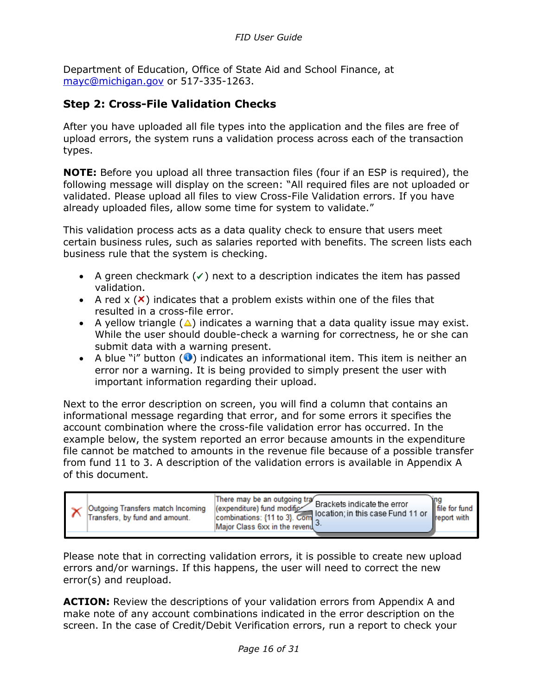Department of Education, Office of State Aid and School Finance, at [mayc@michigan.gov](mailto:mayc@michigan.gov) or 517-335-1263.

#### <span id="page-15-0"></span>**Step 2: Cross-File Validation Checks**

After you have uploaded all file types into the application and the files are free of upload errors, the system runs a validation process across each of the transaction types.

**NOTE:** Before you upload all three transaction files (four if an ESP is required), the following message will display on the screen: "All required files are not uploaded or validated. Please upload all files to view Cross-File Validation errors. If you have already uploaded files, allow some time for system to validate."

This validation process acts as a data quality check to ensure that users meet certain business rules, such as salaries reported with benefits. The screen lists each business rule that the system is checking.

- A green checkmark  $(\checkmark)$  next to a description indicates the item has passed validation.
- A red  $x(x)$  indicates that a problem exists within one of the files that resulted in a cross-file error.
- A yellow triangle  $(\triangle)$  indicates a warning that a data quality issue may exist. While the user should double-check a warning for correctness, he or she can submit data with a warning present.
- A blue "i" button  $\left( \bullet \right)$  indicates an informational item. This item is neither an error nor a warning. It is being provided to simply present the user with important information regarding their upload.

Next to the error description on screen, you will find a column that contains an informational message regarding that error, and for some errors it specifies the account combination where the cross-file validation error has occurred. In the example below, the system reported an error because amounts in the expenditure file cannot be matched to amounts in the revenue file because of a possible transfer from fund 11 to 3. A description of the validation errors is available in Appendix A of this document.

| Outgoing Transfers match Incoming<br>Transfers, by fund and amount. | There may be an outgoing tra Brackets indicate the error<br>(expenditure) fund modific<br>combinations: {11 to 3}. Com location; in this case Fund 11 or<br>Major Class 6xx in the revenued. | file for fund<br>report with |
|---------------------------------------------------------------------|----------------------------------------------------------------------------------------------------------------------------------------------------------------------------------------------|------------------------------|
|---------------------------------------------------------------------|----------------------------------------------------------------------------------------------------------------------------------------------------------------------------------------------|------------------------------|

Please note that in correcting validation errors, it is possible to create new upload errors and/or warnings. If this happens, the user will need to correct the new error(s) and reupload.

**ACTION:** Review the descriptions of your validation errors from Appendix A and make note of any account combinations indicated in the error description on the screen. In the case of Credit/Debit Verification errors, run a report to check your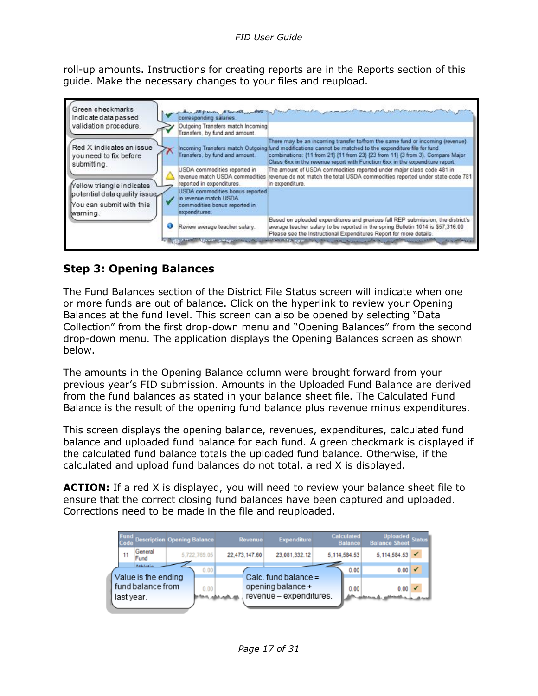roll-up amounts. Instructions for creating reports are in the Reports section of this guide. Make the necessary changes to your files and reupload.



#### <span id="page-16-0"></span>**Step 3: Opening Balances**

The Fund Balances section of the District File Status screen will indicate when one or more funds are out of balance. Click on the hyperlink to review your Opening Balances at the fund level. This screen can also be opened by selecting "Data Collection" from the first drop-down menu and "Opening Balances" from the second drop-down menu. The application displays the Opening Balances screen as shown below.

The amounts in the Opening Balance column were brought forward from your previous year's FID submission. Amounts in the Uploaded Fund Balance are derived from the fund balances as stated in your balance sheet file. The Calculated Fund Balance is the result of the opening fund balance plus revenue minus expenditures.

This screen displays the opening balance, revenues, expenditures, calculated fund balance and uploaded fund balance for each fund. A green checkmark is displayed if the calculated fund balance totals the uploaded fund balance. Otherwise, if the calculated and upload fund balances do not total, a red X is displayed.

**ACTION:** If a red X is displayed, you will need to review your balance sheet file to ensure that the correct closing fund balances have been captured and uploaded. Corrections need to be made in the file and reuploaded.

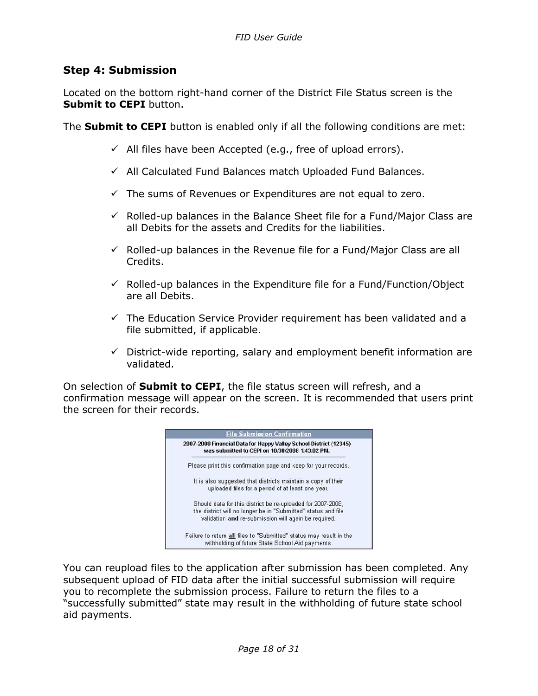#### <span id="page-17-0"></span>**Step 4: Submission**

Located on the bottom right-hand corner of the District File Status screen is the **Submit to CEPI** button.

The **Submit to CEPI** button is enabled only if all the following conditions are met:

- $\checkmark$  All files have been Accepted (e.g., free of upload errors).
- ✓ All Calculated Fund Balances match Uploaded Fund Balances.
- $\checkmark$  The sums of Revenues or Expenditures are not equal to zero.
- $\checkmark$  Rolled-up balances in the Balance Sheet file for a Fund/Major Class are all Debits for the assets and Credits for the liabilities.
- $\checkmark$  Rolled-up balances in the Revenue file for a Fund/Major Class are all Credits.
- $\checkmark$  Rolled-up balances in the Expenditure file for a Fund/Function/Object are all Debits.
- $\checkmark$  The Education Service Provider requirement has been validated and a file submitted, if applicable.
- $\checkmark$  District-wide reporting, salary and employment benefit information are validated.

On selection of **Submit to CEPI**, the file status screen will refresh, and a confirmation message will appear on the screen. It is recommended that users print the screen for their records.



You can reupload files to the application after submission has been completed. Any subsequent upload of FID data after the initial successful submission will require you to recomplete the submission process. Failure to return the files to a "successfully submitted" state may result in the withholding of future state school aid payments.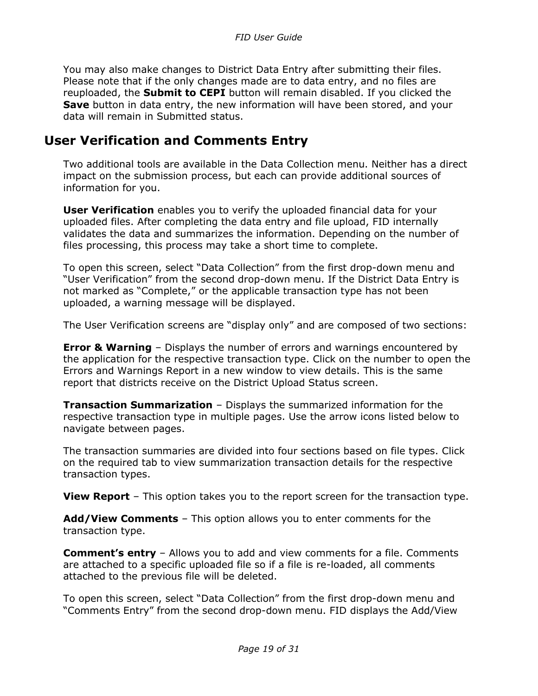You may also make changes to District Data Entry after submitting their files. Please note that if the only changes made are to data entry, and no files are reuploaded, the **Submit to CEPI** button will remain disabled. If you clicked the **Save** button in data entry, the new information will have been stored, and your data will remain in Submitted status.

### <span id="page-18-0"></span>**User Verification and Comments Entry**

Two additional tools are available in the Data Collection menu. Neither has a direct impact on the submission process, but each can provide additional sources of information for you.

**User Verification** enables you to verify the uploaded financial data for your uploaded files. After completing the data entry and file upload, FID internally validates the data and summarizes the information. Depending on the number of files processing, this process may take a short time to complete.

To open this screen, select "Data Collection" from the first drop-down menu and "User Verification" from the second drop-down menu. If the District Data Entry is not marked as "Complete," or the applicable transaction type has not been uploaded, a warning message will be displayed.

The User Verification screens are "display only" and are composed of two sections:

**Error & Warning** – Displays the number of errors and warnings encountered by the application for the respective transaction type. Click on the number to open the Errors and Warnings Report in a new window to view details. This is the same report that districts receive on the District Upload Status screen.

**Transaction Summarization** – Displays the summarized information for the respective transaction type in multiple pages. Use the arrow icons listed below to navigate between pages.

The transaction summaries are divided into four sections based on file types. Click on the required tab to view summarization transaction details for the respective transaction types.

**View Report** – This option takes you to the report screen for the transaction type.

**Add/View Comments** – This option allows you to enter comments for the transaction type.

**Comment's entry** – Allows you to add and view comments for a file. Comments are attached to a specific uploaded file so if a file is re-loaded, all comments attached to the previous file will be deleted.

To open this screen, select "Data Collection" from the first drop-down menu and "Comments Entry" from the second drop-down menu. FID displays the Add/View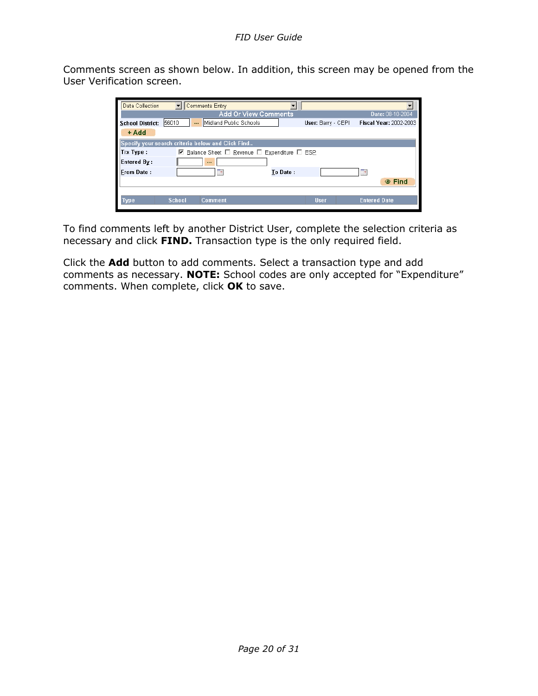Comments screen as shown below. In addition, this screen may be opened from the User Verification screen.

| Data Collection         |               | <b>Comments Entry</b>                             |                                                                      |                    |                               |
|-------------------------|---------------|---------------------------------------------------|----------------------------------------------------------------------|--------------------|-------------------------------|
|                         |               |                                                   | <b>Add Or View Comments</b>                                          |                    | Date: 08-10-2004              |
| <b>School District:</b> | 56010<br>     | Midland Public Schools                            |                                                                      | User: Barry - CEPI | <b>Fiscal Year: 2002-2003</b> |
| + Add                   |               |                                                   |                                                                      |                    |                               |
|                         |               | Specify your search criteria below and Click Find |                                                                      |                    |                               |
| Trx Type :              |               |                                                   | $\boxdot$ Balance Sheet $\Box$ Revenue $\Box$ Expenditure $\Box$ ESP |                    |                               |
| <b>Entered By:</b>      |               | $\cdots$                                          |                                                                      |                    |                               |
| <b>From Date:</b>       |               | ÷,                                                | To Date:                                                             |                    | Τ.                            |
|                         |               |                                                   |                                                                      |                    | ◎ Find                        |
|                         |               |                                                   |                                                                      |                    |                               |
| Type                    | <b>School</b> | <b>Comment</b>                                    |                                                                      | <b>User</b>        | <b>Entered Date</b>           |
|                         |               |                                                   |                                                                      |                    |                               |

To find comments left by another District User, complete the selection criteria as necessary and click **FIND.** Transaction type is the only required field.

Click the **Add** button to add comments. Select a transaction type and add comments as necessary. **NOTE:** School codes are only accepted for "Expenditure" comments. When complete, click **OK** to save.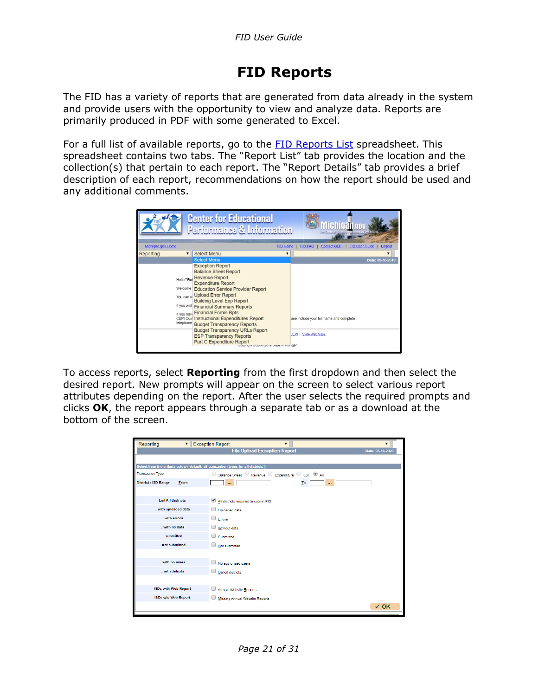# <span id="page-20-0"></span>**FID Reports**

The FID has a variety of reports that are generated from data already in the system and provide users with the opportunity to view and analyze data. Reports are primarily produced in PDF with some generated to Excel.

For a full list of available reports, go to the **FID Reports List** spreadsheet. This spreadsheet contains two tabs. The "Report List" tab provides the location and the collection(s) that pertain to each report. The "Report Details" tab provides a brief description of each report, recommendations on how the report should be used and any additional comments.



To access reports, select **Reporting** from the first dropdown and then select the desired report. New prompts will appear on the screen to select various report attributes depending on the report. After the user selects the required prompts and clicks **OK**, the report appears through a separate tab or as a download at the bottom of the screen.

| Reporting<br>$\mathbf{v}$                                                          | <b>Exception Report</b><br>$\overline{\mathbf{v}}$  | ▼                |
|------------------------------------------------------------------------------------|-----------------------------------------------------|------------------|
|                                                                                    | <b>File Upload Exception Report</b>                 | Date: 03-18-2020 |
|                                                                                    |                                                     |                  |
| Select from the criteria below (default: all transaction types for all districts ) |                                                     |                  |
| <b>Transaction Type</b>                                                            | ○ Balance Sheet ○ Revenue ○ Expenditure ○ ESP ● All |                  |
| District / ISD Range<br>From                                                       | Ιo<br>                                              |                  |
|                                                                                    |                                                     |                  |
| <b>List All Districts</b>                                                          | All districts required to submit FID                |                  |
| with uploaded data                                                                 | Uploaded data                                       |                  |
| with errors                                                                        | $\square$ Errors                                    |                  |
| with no data                                                                       | Without data                                        |                  |
| submitted                                                                          | Submitted                                           |                  |
| not submitted                                                                      | Not submitted                                       |                  |
|                                                                                    |                                                     |                  |
| with no users                                                                      | No authorized users                                 |                  |
| with deficits                                                                      | Deficit districts                                   |                  |
|                                                                                    |                                                     |                  |
| <b>ISDs with Web Report</b>                                                        | Annual Website Reports                              |                  |
| <b>ISDs w/o Web Report</b>                                                         | Missing Annual Website Reports                      |                  |
|                                                                                    |                                                     | $\checkmark$ OK  |
|                                                                                    |                                                     |                  |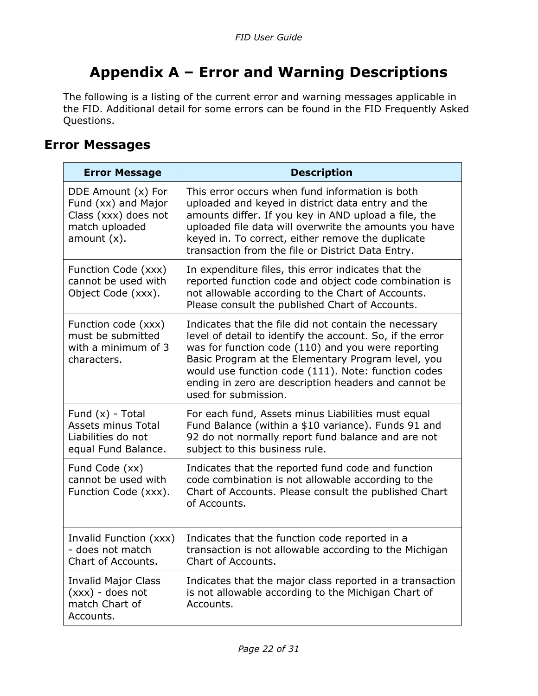# <span id="page-21-0"></span>**Appendix A – Error and Warning Descriptions**

The following is a listing of the current error and warning messages applicable in the FID. Additional detail for some errors can be found in the FID Frequently Asked Questions.

### <span id="page-21-1"></span>**Error Messages**

| <b>Error Message</b>                                                                                  | <b>Description</b>                                                                                                                                                                                                                                                                                                                                                    |
|-------------------------------------------------------------------------------------------------------|-----------------------------------------------------------------------------------------------------------------------------------------------------------------------------------------------------------------------------------------------------------------------------------------------------------------------------------------------------------------------|
| DDE Amount (x) For<br>Fund (xx) and Major<br>Class (xxx) does not<br>match uploaded<br>amount $(x)$ . | This error occurs when fund information is both<br>uploaded and keyed in district data entry and the<br>amounts differ. If you key in AND upload a file, the<br>uploaded file data will overwrite the amounts you have<br>keyed in. To correct, either remove the duplicate<br>transaction from the file or District Data Entry.                                      |
| Function Code (xxx)<br>cannot be used with<br>Object Code (xxx).                                      | In expenditure files, this error indicates that the<br>reported function code and object code combination is<br>not allowable according to the Chart of Accounts.<br>Please consult the published Chart of Accounts.                                                                                                                                                  |
| Function code (xxx)<br>must be submitted<br>with a minimum of 3<br>characters.                        | Indicates that the file did not contain the necessary<br>level of detail to identify the account. So, if the error<br>was for function code (110) and you were reporting<br>Basic Program at the Elementary Program level, you<br>would use function code (111). Note: function codes<br>ending in zero are description headers and cannot be<br>used for submission. |
| Fund $(x)$ - Total<br>Assets minus Total<br>Liabilities do not<br>equal Fund Balance.                 | For each fund, Assets minus Liabilities must equal<br>Fund Balance (within a \$10 variance). Funds 91 and<br>92 do not normally report fund balance and are not<br>subject to this business rule.                                                                                                                                                                     |
| Fund Code (xx)<br>cannot be used with<br>Function Code (xxx).                                         | Indicates that the reported fund code and function<br>code combination is not allowable according to the<br>Chart of Accounts. Please consult the published Chart<br>of Accounts.                                                                                                                                                                                     |
| Invalid Function (xxx)<br>- does not match<br>Chart of Accounts.                                      | Indicates that the function code reported in a<br>transaction is not allowable according to the Michigan<br>Chart of Accounts.                                                                                                                                                                                                                                        |
| <b>Invalid Major Class</b><br>$(xx)$ - does not<br>match Chart of<br>Accounts.                        | Indicates that the major class reported in a transaction<br>is not allowable according to the Michigan Chart of<br>Accounts.                                                                                                                                                                                                                                          |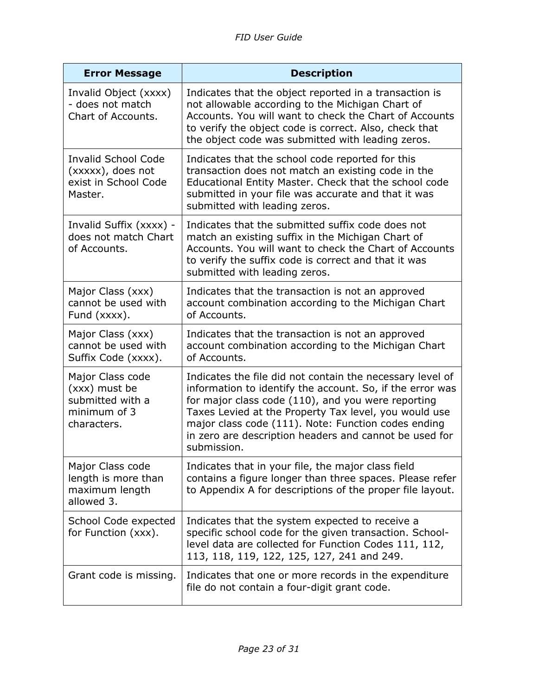| <b>Error Message</b>                                                                 | <b>Description</b>                                                                                                                                                                                                                                                                                                                                                    |
|--------------------------------------------------------------------------------------|-----------------------------------------------------------------------------------------------------------------------------------------------------------------------------------------------------------------------------------------------------------------------------------------------------------------------------------------------------------------------|
| Invalid Object (xxxx)<br>- does not match<br>Chart of Accounts.                      | Indicates that the object reported in a transaction is<br>not allowable according to the Michigan Chart of<br>Accounts. You will want to check the Chart of Accounts<br>to verify the object code is correct. Also, check that<br>the object code was submitted with leading zeros.                                                                                   |
| <b>Invalid School Code</b><br>(xxxxx), does not<br>exist in School Code<br>Master.   | Indicates that the school code reported for this<br>transaction does not match an existing code in the<br>Educational Entity Master. Check that the school code<br>submitted in your file was accurate and that it was<br>submitted with leading zeros.                                                                                                               |
| Invalid Suffix (xxxx) -<br>does not match Chart<br>of Accounts.                      | Indicates that the submitted suffix code does not<br>match an existing suffix in the Michigan Chart of<br>Accounts. You will want to check the Chart of Accounts<br>to verify the suffix code is correct and that it was<br>submitted with leading zeros.                                                                                                             |
| Major Class (xxx)<br>cannot be used with<br>Fund (xxxx).                             | Indicates that the transaction is not an approved<br>account combination according to the Michigan Chart<br>of Accounts.                                                                                                                                                                                                                                              |
| Major Class (xxx)<br>cannot be used with<br>Suffix Code (xxxx).                      | Indicates that the transaction is not an approved<br>account combination according to the Michigan Chart<br>of Accounts.                                                                                                                                                                                                                                              |
| Major Class code<br>(xxx) must be<br>submitted with a<br>minimum of 3<br>characters. | Indicates the file did not contain the necessary level of<br>information to identify the account. So, if the error was<br>for major class code (110), and you were reporting<br>Taxes Levied at the Property Tax level, you would use<br>major class code (111). Note: Function codes ending<br>in zero are description headers and cannot be used for<br>submission. |
| Major Class code<br>length is more than<br>maximum length<br>allowed 3.              | Indicates that in your file, the major class field<br>contains a figure longer than three spaces. Please refer<br>to Appendix A for descriptions of the proper file layout.                                                                                                                                                                                           |
| School Code expected<br>for Function (xxx).                                          | Indicates that the system expected to receive a<br>specific school code for the given transaction. School-<br>level data are collected for Function Codes 111, 112,<br>113, 118, 119, 122, 125, 127, 241 and 249.                                                                                                                                                     |
| Grant code is missing.                                                               | Indicates that one or more records in the expenditure<br>file do not contain a four-digit grant code.                                                                                                                                                                                                                                                                 |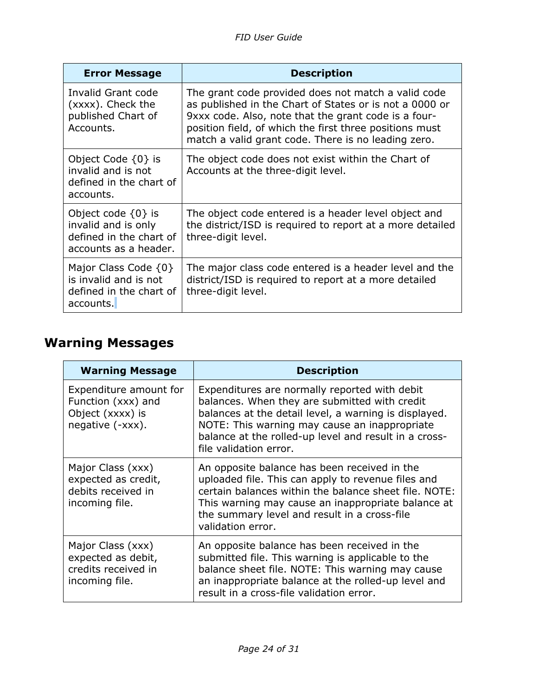| <b>Error Message</b>                                                                              | <b>Description</b>                                                                                                                                                                                                                                                                       |
|---------------------------------------------------------------------------------------------------|------------------------------------------------------------------------------------------------------------------------------------------------------------------------------------------------------------------------------------------------------------------------------------------|
| Invalid Grant code<br>(xxxx). Check the<br>published Chart of<br>Accounts.                        | The grant code provided does not match a valid code<br>as published in the Chart of States or is not a 0000 or<br>9xxx code. Also, note that the grant code is a four-<br>position field, of which the first three positions must<br>match a valid grant code. There is no leading zero. |
| Object Code $\{0\}$ is<br>invalid and is not<br>defined in the chart of<br>accounts.              | The object code does not exist within the Chart of<br>Accounts at the three-digit level.                                                                                                                                                                                                 |
| Object code $\{0\}$ is<br>invalid and is only<br>defined in the chart of<br>accounts as a header. | The object code entered is a header level object and<br>the district/ISD is required to report at a more detailed<br>three-digit level.                                                                                                                                                  |
| Major Class Code $\{0\}$<br>is invalid and is not<br>defined in the chart of<br>accounts.         | The major class code entered is a header level and the<br>district/ISD is required to report at a more detailed<br>three-digit level.                                                                                                                                                    |

# <span id="page-23-0"></span>**Warning Messages**

| <b>Warning Message</b>                                                               | <b>Description</b>                                                                                                                                                                                                                                                                          |
|--------------------------------------------------------------------------------------|---------------------------------------------------------------------------------------------------------------------------------------------------------------------------------------------------------------------------------------------------------------------------------------------|
| Expenditure amount for<br>Function (xxx) and<br>Object (xxxx) is<br>negative (-xxx). | Expenditures are normally reported with debit<br>balances. When they are submitted with credit<br>balances at the detail level, a warning is displayed.<br>NOTE: This warning may cause an inappropriate<br>balance at the rolled-up level and result in a cross-<br>file validation error. |
| Major Class (xxx)<br>expected as credit,<br>debits received in<br>incoming file.     | An opposite balance has been received in the<br>uploaded file. This can apply to revenue files and<br>certain balances within the balance sheet file. NOTE:<br>This warning may cause an inappropriate balance at<br>the summary level and result in a cross-file<br>validation error.      |
| Major Class (xxx)<br>expected as debit,<br>credits received in<br>incoming file.     | An opposite balance has been received in the<br>submitted file. This warning is applicable to the<br>balance sheet file. NOTE: This warning may cause<br>an inappropriate balance at the rolled-up level and<br>result in a cross-file validation error.                                    |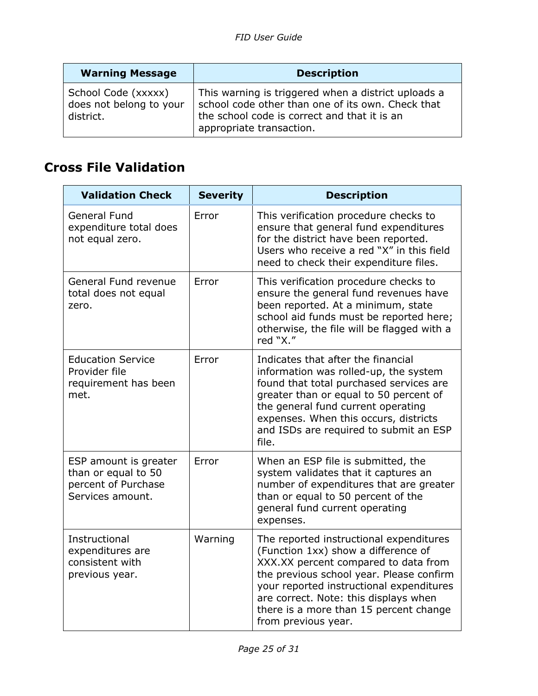| <b>Warning Message</b>                                      | <b>Description</b>                                                                                                                                                                   |
|-------------------------------------------------------------|--------------------------------------------------------------------------------------------------------------------------------------------------------------------------------------|
| School Code (xxxxx)<br>does not belong to your<br>district. | This warning is triggered when a district uploads a<br>school code other than one of its own. Check that<br>the school code is correct and that it is an<br>appropriate transaction. |

# <span id="page-24-0"></span>**Cross File Validation**

| <b>Validation Check</b>                                                                 | <b>Severity</b> | <b>Description</b>                                                                                                                                                                                                                                                                                                       |
|-----------------------------------------------------------------------------------------|-----------------|--------------------------------------------------------------------------------------------------------------------------------------------------------------------------------------------------------------------------------------------------------------------------------------------------------------------------|
| <b>General Fund</b><br>expenditure total does<br>not equal zero.                        | Error           | This verification procedure checks to<br>ensure that general fund expenditures<br>for the district have been reported.<br>Users who receive a red "X" in this field<br>need to check their expenditure files.                                                                                                            |
| General Fund revenue<br>total does not equal<br>zero.                                   | Error           | This verification procedure checks to<br>ensure the general fund revenues have<br>been reported. At a minimum, state<br>school aid funds must be reported here;<br>otherwise, the file will be flagged with a<br>red "X."                                                                                                |
| <b>Education Service</b><br>Provider file<br>requirement has been<br>met.               | Error           | Indicates that after the financial<br>information was rolled-up, the system<br>found that total purchased services are<br>greater than or equal to 50 percent of<br>the general fund current operating<br>expenses. When this occurs, districts<br>and ISDs are required to submit an ESP<br>file.                       |
| ESP amount is greater<br>than or equal to 50<br>percent of Purchase<br>Services amount. | Error           | When an ESP file is submitted, the<br>system validates that it captures an<br>number of expenditures that are greater<br>than or equal to 50 percent of the<br>general fund current operating<br>expenses.                                                                                                               |
| Instructional<br>expenditures are<br>consistent with<br>previous year.                  | Warning         | The reported instructional expenditures<br>(Function 1xx) show a difference of<br>XXX.XX percent compared to data from<br>the previous school year. Please confirm<br>your reported instructional expenditures<br>are correct. Note: this displays when<br>there is a more than 15 percent change<br>from previous year. |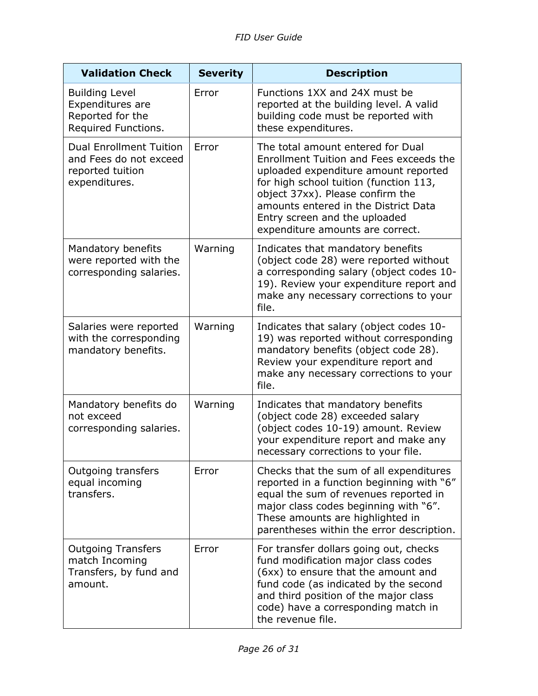| <b>Validation Check</b>                                                                       | <b>Severity</b> | <b>Description</b>                                                                                                                                                                                                                                                                                              |
|-----------------------------------------------------------------------------------------------|-----------------|-----------------------------------------------------------------------------------------------------------------------------------------------------------------------------------------------------------------------------------------------------------------------------------------------------------------|
| <b>Building Level</b><br><b>Expenditures are</b><br>Reported for the<br>Required Functions.   | Error           | Functions 1XX and 24X must be<br>reported at the building level. A valid<br>building code must be reported with<br>these expenditures.                                                                                                                                                                          |
| <b>Dual Enrollment Tuition</b><br>and Fees do not exceed<br>reported tuition<br>expenditures. | Error           | The total amount entered for Dual<br>Enrollment Tuition and Fees exceeds the<br>uploaded expenditure amount reported<br>for high school tuition (function 113,<br>object 37xx). Please confirm the<br>amounts entered in the District Data<br>Entry screen and the uploaded<br>expenditure amounts are correct. |
| Mandatory benefits<br>were reported with the<br>corresponding salaries.                       | Warning         | Indicates that mandatory benefits<br>(object code 28) were reported without<br>a corresponding salary (object codes 10-<br>19). Review your expenditure report and<br>make any necessary corrections to your<br>file.                                                                                           |
| Salaries were reported<br>with the corresponding<br>mandatory benefits.                       | Warning         | Indicates that salary (object codes 10-<br>19) was reported without corresponding<br>mandatory benefits (object code 28).<br>Review your expenditure report and<br>make any necessary corrections to your<br>file.                                                                                              |
| Mandatory benefits do<br>not exceed<br>corresponding salaries.                                | Warning         | Indicates that mandatory benefits<br>(object code 28) exceeded salary<br>(object codes 10-19) amount. Review<br>your expenditure report and make any<br>necessary corrections to your file.                                                                                                                     |
| <b>Outgoing transfers</b><br>equal incoming<br>transfers.                                     | Error           | Checks that the sum of all expenditures<br>reported in a function beginning with "6"<br>equal the sum of revenues reported in<br>major class codes beginning with "6".<br>These amounts are highlighted in<br>parentheses within the error description.                                                         |
| <b>Outgoing Transfers</b><br>match Incoming<br>Transfers, by fund and<br>amount.              | Error           | For transfer dollars going out, checks<br>fund modification major class codes<br>(6xx) to ensure that the amount and<br>fund code (as indicated by the second<br>and third position of the major class<br>code) have a corresponding match in<br>the revenue file.                                              |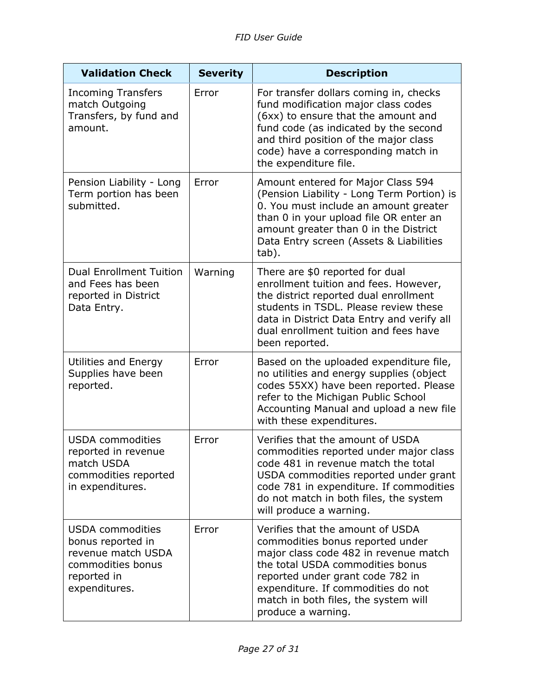| <b>Validation Check</b>                                                                                                 | <b>Severity</b> | <b>Description</b>                                                                                                                                                                                                                                                                        |
|-------------------------------------------------------------------------------------------------------------------------|-----------------|-------------------------------------------------------------------------------------------------------------------------------------------------------------------------------------------------------------------------------------------------------------------------------------------|
| <b>Incoming Transfers</b><br>match Outgoing<br>Transfers, by fund and<br>amount.                                        | Error           | For transfer dollars coming in, checks<br>fund modification major class codes<br>(6xx) to ensure that the amount and<br>fund code (as indicated by the second<br>and third position of the major class<br>code) have a corresponding match in<br>the expenditure file.                    |
| Pension Liability - Long<br>Term portion has been<br>submitted.                                                         | Error           | Amount entered for Major Class 594<br>(Pension Liability - Long Term Portion) is<br>0. You must include an amount greater<br>than 0 in your upload file OR enter an<br>amount greater than 0 in the District<br>Data Entry screen (Assets & Liabilities<br>tab).                          |
| <b>Dual Enrollment Tuition</b><br>and Fees has been<br>reported in District<br>Data Entry.                              | Warning         | There are \$0 reported for dual<br>enrollment tuition and fees. However,<br>the district reported dual enrollment<br>students in TSDL. Please review these<br>data in District Data Entry and verify all<br>dual enrollment tuition and fees have<br>been reported.                       |
| Utilities and Energy<br>Supplies have been<br>reported.                                                                 | Error           | Based on the uploaded expenditure file,<br>no utilities and energy supplies (object<br>codes 55XX) have been reported. Please<br>refer to the Michigan Public School<br>Accounting Manual and upload a new file<br>with these expenditures.                                               |
| <b>USDA</b> commodities<br>reported in revenue<br>match USDA<br>commodities reported<br>in expenditures.                | Error           | Verifies that the amount of USDA<br>commodities reported under major class<br>code 481 in revenue match the total<br>USDA commodities reported under grant<br>code 781 in expenditure. If commodities<br>do not match in both files, the system<br>will produce a warning.                |
| <b>USDA</b> commodities<br>bonus reported in<br>revenue match USDA<br>commodities bonus<br>reported in<br>expenditures. | Error           | Verifies that the amount of USDA<br>commodities bonus reported under<br>major class code 482 in revenue match<br>the total USDA commodities bonus<br>reported under grant code 782 in<br>expenditure. If commodities do not<br>match in both files, the system will<br>produce a warning. |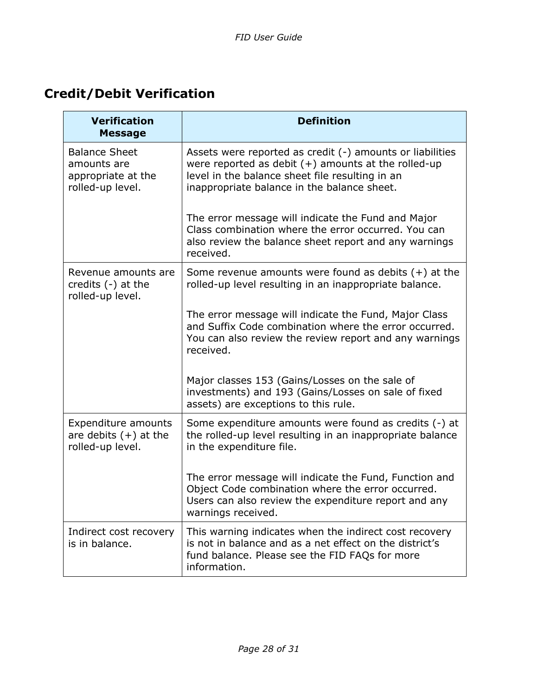# <span id="page-27-0"></span>**Credit/Debit Verification**

| <b>Verification</b><br><b>Message</b>                                         | <b>Definition</b>                                                                                                                                                                                                    |
|-------------------------------------------------------------------------------|----------------------------------------------------------------------------------------------------------------------------------------------------------------------------------------------------------------------|
| <b>Balance Sheet</b><br>amounts are<br>appropriate at the<br>rolled-up level. | Assets were reported as credit (-) amounts or liabilities<br>were reported as debit $(+)$ amounts at the rolled-up<br>level in the balance sheet file resulting in an<br>inappropriate balance in the balance sheet. |
|                                                                               | The error message will indicate the Fund and Major<br>Class combination where the error occurred. You can<br>also review the balance sheet report and any warnings<br>received.                                      |
| Revenue amounts are<br>credits $(-)$ at the<br>rolled-up level.               | Some revenue amounts were found as debits $(+)$ at the<br>rolled-up level resulting in an inappropriate balance.                                                                                                     |
|                                                                               | The error message will indicate the Fund, Major Class<br>and Suffix Code combination where the error occurred.<br>You can also review the review report and any warnings<br>received.                                |
|                                                                               | Major classes 153 (Gains/Losses on the sale of<br>investments) and 193 (Gains/Losses on sale of fixed<br>assets) are exceptions to this rule.                                                                        |
| Expenditure amounts<br>are debits $(+)$ at the<br>rolled-up level.            | Some expenditure amounts were found as credits (-) at<br>the rolled-up level resulting in an inappropriate balance<br>in the expenditure file.                                                                       |
|                                                                               | The error message will indicate the Fund, Function and<br>Object Code combination where the error occurred.<br>Users can also review the expenditure report and any<br>warnings received.                            |
| Indirect cost recovery<br>is in balance.                                      | This warning indicates when the indirect cost recovery<br>is not in balance and as a net effect on the district's<br>fund balance. Please see the FID FAQs for more<br>information.                                  |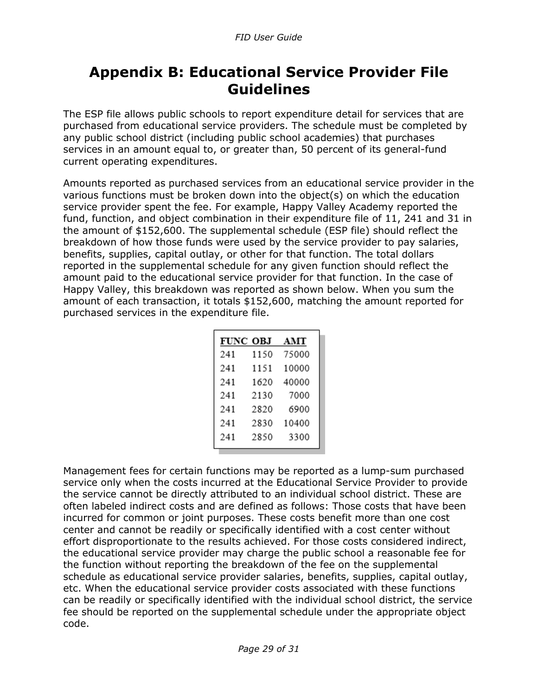# <span id="page-28-0"></span>**Appendix B: Educational Service Provider File Guidelines**

The ESP file allows public schools to report expenditure detail for services that are purchased from educational service providers. The schedule must be completed by any public school district (including public school academies) that purchases services in an amount equal to, or greater than, 50 percent of its general-fund current operating expenditures.

Amounts reported as purchased services from an educational service provider in the various functions must be broken down into the object(s) on which the education service provider spent the fee. For example, Happy Valley Academy reported the fund, function, and object combination in their expenditure file of 11, 241 and 31 in the amount of \$152,600. The supplemental schedule (ESP file) should reflect the breakdown of how those funds were used by the service provider to pay salaries, benefits, supplies, capital outlay, or other for that function. The total dollars reported in the supplemental schedule for any given function should reflect the amount paid to the educational service provider for that function. In the case of Happy Valley, this breakdown was reported as shown below. When you sum the amount of each transaction, it totals \$152,600, matching the amount reported for purchased services in the expenditure file.

|     | <b>FUNC OBJ</b> | AMT   |
|-----|-----------------|-------|
| 241 | 1150            | 75000 |
| 241 | 1151            | 10000 |
| 241 | 1620            | 40000 |
| 241 | 2130            | 7000  |
| 241 | 2820            | 6900  |
| 241 | 2830            | 10400 |
| 241 | 2850            | 3300  |

Management fees for certain functions may be reported as a lump-sum purchased service only when the costs incurred at the Educational Service Provider to provide the service cannot be directly attributed to an individual school district. These are often labeled indirect costs and are defined as follows: Those costs that have been incurred for common or joint purposes. These costs benefit more than one cost center and cannot be readily or specifically identified with a cost center without effort disproportionate to the results achieved. For those costs considered indirect, the educational service provider may charge the public school a reasonable fee for the function without reporting the breakdown of the fee on the supplemental schedule as educational service provider salaries, benefits, supplies, capital outlay, etc. When the educational service provider costs associated with these functions can be readily or specifically identified with the individual school district, the service fee should be reported on the supplemental schedule under the appropriate object code.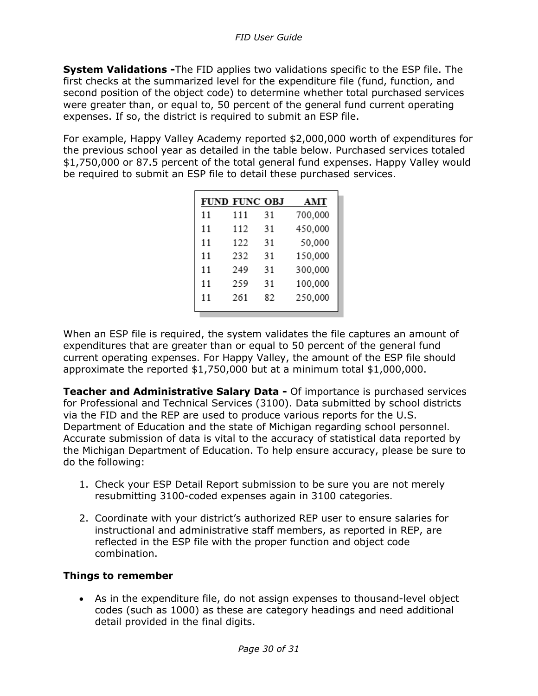**System Validations -**The FID applies two validations specific to the ESP file. The first checks at the summarized level for the expenditure file (fund, function, and second position of the object code) to determine whether total purchased services were greater than, or equal to, 50 percent of the general fund current operating expenses. If so, the district is required to submit an ESP file.

For example, Happy Valley Academy reported \$2,000,000 worth of expenditures for the previous school year as detailed in the table below. Purchased services totaled \$1,750,000 or 87.5 percent of the total general fund expenses. Happy Valley would be required to submit an ESP file to detail these purchased services.

|    | FUND FUNC OBJ |    | AMT     |
|----|---------------|----|---------|
| 11 | 111           | 31 | 700,000 |
| 11 | 112           | 31 | 450,000 |
| 11 | 122           | 31 | 50,000  |
| 11 | 232           | 31 | 150,000 |
| 11 | 249           | 31 | 300,000 |
| 11 | 259           | 31 | 100,000 |
| 11 | 261           | 82 | 250,000 |
|    |               |    |         |

When an ESP file is required, the system validates the file captures an amount of expenditures that are greater than or equal to 50 percent of the general fund current operating expenses. For Happy Valley, the amount of the ESP file should approximate the reported \$1,750,000 but at a minimum total \$1,000,000.

**Teacher and Administrative Salary Data -** Of importance is purchased services for Professional and Technical Services (3100). Data submitted by school districts via the FID and the REP are used to produce various reports for the U.S. Department of Education and the state of Michigan regarding school personnel. Accurate submission of data is vital to the accuracy of statistical data reported by the Michigan Department of Education. To help ensure accuracy, please be sure to do the following:

- 1. Check your ESP Detail Report submission to be sure you are not merely resubmitting 3100-coded expenses again in 3100 categories.
- 2. Coordinate with your district's authorized REP user to ensure salaries for instructional and administrative staff members, as reported in REP, are reflected in the ESP file with the proper function and object code combination.

#### **Things to remember**

• As in the expenditure file, do not assign expenses to thousand-level object codes (such as 1000) as these are category headings and need additional detail provided in the final digits.